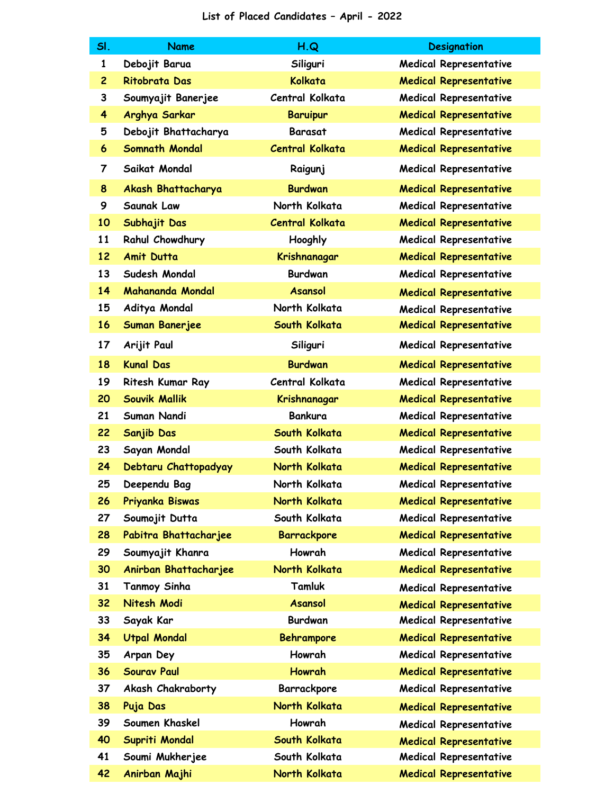| SI.            | <b>Name</b>           | H.Q                    | <b>Designation</b>            |
|----------------|-----------------------|------------------------|-------------------------------|
| $\mathbf{1}$   | Debojit Barua         | Siliguri               | <b>Medical Representative</b> |
| $\overline{c}$ | <b>Ritobrata Das</b>  | Kolkata                | <b>Medical Representative</b> |
| 3              | Soumyajit Banerjee    | Central Kolkata        | <b>Medical Representative</b> |
| 4              | Arghya Sarkar         | <b>Baruipur</b>        | <b>Medical Representative</b> |
| 5              | Debojit Bhattacharya  | <b>Barasat</b>         | <b>Medical Representative</b> |
| 6              | <b>Somnath Mondal</b> | <b>Central Kolkata</b> | <b>Medical Representative</b> |
| 7              | Saikat Mondal         | Raigunj                | <b>Medical Representative</b> |
| 8              | Akash Bhattacharya    | <b>Burdwan</b>         | <b>Medical Representative</b> |
| 9              | Saunak Law            | North Kolkata          | <b>Medical Representative</b> |
| 10             | Subhajit Das          | <b>Central Kolkata</b> | <b>Medical Representative</b> |
| 11             | Rahul Chowdhury       | Hooghly                | <b>Medical Representative</b> |
| 12             | <b>Amit Dutta</b>     | Krishnanagar           | <b>Medical Representative</b> |
| 13             | Sudesh Mondal         | <b>Burdwan</b>         | <b>Medical Representative</b> |
| 14             | Mahananda Mondal      | <b>Asansol</b>         | <b>Medical Representative</b> |
| 15             | Aditya Mondal         | North Kolkata          | <b>Medical Representative</b> |
| 16             | <b>Suman Banerjee</b> | South Kolkata          | <b>Medical Representative</b> |
| 17             | Arijit Paul           | Siliguri               | <b>Medical Representative</b> |
| 18             | <b>Kunal Das</b>      | <b>Burdwan</b>         | <b>Medical Representative</b> |
| 19             | Ritesh Kumar Ray      | Central Kolkata        | <b>Medical Representative</b> |
| 20             | <b>Souvik Mallik</b>  | Krishnanagar           | <b>Medical Representative</b> |
| 21             | Suman Nandi           | <b>Bankura</b>         | Medical Representative        |
| 22             | <b>Sanjib Das</b>     | South Kolkata          | <b>Medical Representative</b> |
| 23             | Sayan Mondal          | South Kolkata          | <b>Medical Representative</b> |
| 24             | Debtaru Chattopadyay  | North Kolkata          | <b>Medical Representative</b> |
| 25             | Deependu Bag          | North Kolkata          | <b>Medical Representative</b> |
| 26             | Priyanka Biswas       | North Kolkata          | <b>Medical Representative</b> |
| 27             | Soumojit Dutta        | South Kolkata          | Medical Representative        |
| 28             | Pabitra Bhattacharjee | <b>Barrackpore</b>     | <b>Medical Representative</b> |
| 29             | Soumyajit Khanra      | Howrah                 | <b>Medical Representative</b> |
| 30             | Anirban Bhattacharjee | North Kolkata          | <b>Medical Representative</b> |
| 31             | <b>Tanmoy Sinha</b>   | Tamluk                 | <b>Medical Representative</b> |
| 32             | Nitesh Modi           | <b>Asansol</b>         | <b>Medical Representative</b> |
| 33             | Sayak Kar             | <b>Burdwan</b>         | <b>Medical Representative</b> |
| 34             | <b>Utpal Mondal</b>   | <b>Behrampore</b>      | <b>Medical Representative</b> |
| 35             | Arpan Dey             | Howrah                 | <b>Medical Representative</b> |
| 36             | <b>Sourav Paul</b>    | <b>Howrah</b>          | <b>Medical Representative</b> |
| 37             | Akash Chakraborty     | Barrackpore            | <b>Medical Representative</b> |
| 38             | Puja Das              | North Kolkata          | <b>Medical Representative</b> |
| 39             | Soumen Khaskel        | Howrah                 | <b>Medical Representative</b> |
| 40             | Supriti Mondal        | South Kolkata          | <b>Medical Representative</b> |
| 41             | Soumi Mukherjee       | South Kolkata          | Medical Representative        |
| 42             | Anirban Majhi         | North Kolkata          | <b>Medical Representative</b> |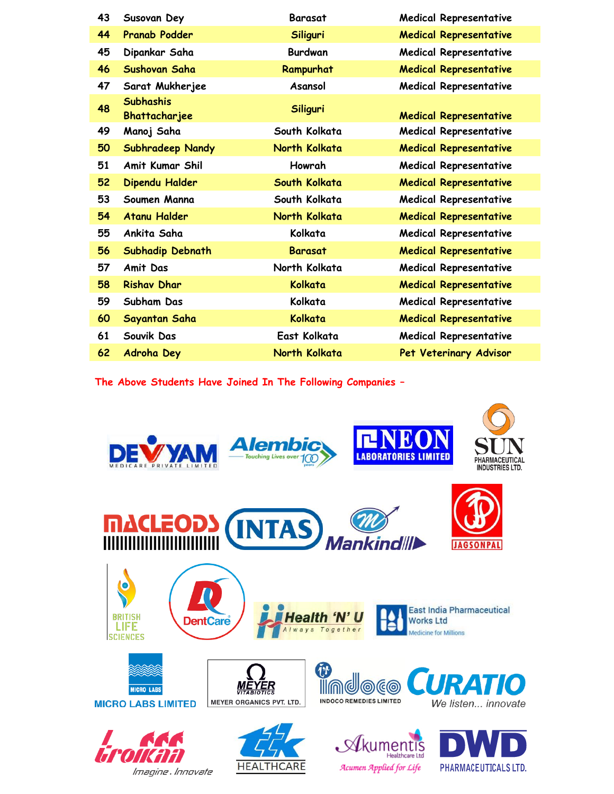| 43 | Susovan Dey                              | <b>Barasat</b> | Medical Representative        |
|----|------------------------------------------|----------------|-------------------------------|
| 44 | <b>Pranab Podder</b>                     | Siliguri       | <b>Medical Representative</b> |
| 45 | Dipankar Saha                            | <b>Burdwan</b> | Medical Representative        |
| 46 | Sushovan Saha                            | Rampurhat      | <b>Medical Representative</b> |
| 47 | Sarat Mukherjee                          | Asansol        | <b>Medical Representative</b> |
| 48 | <b>Subhashis</b><br><b>Bhattacharjee</b> | Siliguri       | <b>Medical Representative</b> |
| 49 | Manoj Saha                               | South Kolkata  | <b>Medical Representative</b> |
| 50 | <b>Subhradeep Nandy</b>                  | North Kolkata  | <b>Medical Representative</b> |
| 51 | Amit Kumar Shil                          | Howrah         | <b>Medical Representative</b> |
| 52 | Dipendu Halder                           | South Kolkata  | <b>Medical Representative</b> |
| 53 | Soumen Manna                             | South Kolkata  | <b>Medical Representative</b> |
| 54 | <b>Atanu Halder</b>                      | North Kolkata  | <b>Medical Representative</b> |
| 55 | Ankita Saha                              | Kolkata        | <b>Medical Representative</b> |
| 56 | Subhadip Debnath                         | <b>Barasat</b> | <b>Medical Representative</b> |
| 57 | <b>Amit Das</b>                          | North Kolkata  | <b>Medical Representative</b> |
| 58 | <b>Rishav Dhar</b>                       | Kolkata        | <b>Medical Representative</b> |
| 59 | Subham Das                               | Kolkata        | <b>Medical Representative</b> |
| 60 | Sayantan Saha                            | Kolkata        | <b>Medical Representative</b> |
| 61 | Souvik Das                               | East Kolkata   | <b>Medical Representative</b> |
| 62 | <b>Adroha Dey</b>                        | North Kolkata  | Pet Veterinary Advisor        |
|    |                                          |                |                               |

**The Above Students Have Joined In The Following Companies –**



 $\mathcal{A}$ cumen $\mathcal{A}$ pplied for Life

PHARMACEUTICALS LTD.

**HEALTHCARE** 

Imagine. Innovate